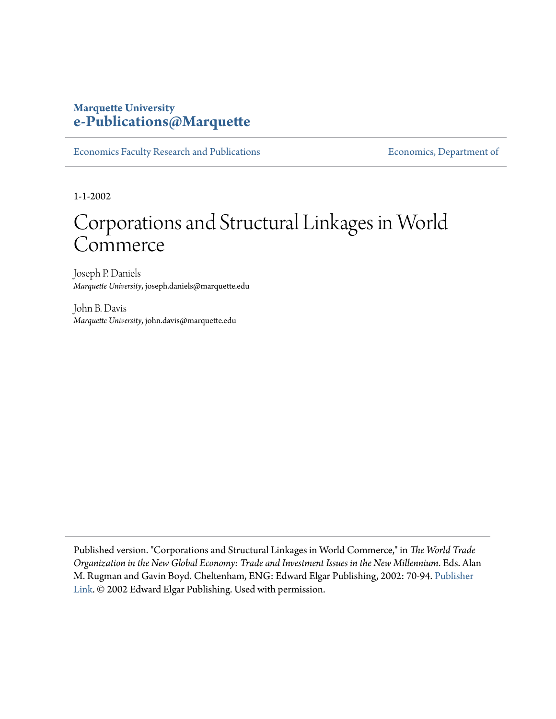## **Marquette University [e-Publications@Marquette](https://epublications.marquette.edu)**

[Economics Faculty Research and Publications](https://epublications.marquette.edu/econ_fac) **Economics**, Department of

1-1-2002

# Corporations and Structural Linkages in World **Commerce**

Joseph P. Daniels *Marquette University*, joseph.daniels@marquette.edu

John B. Davis *Marquette University*, john.davis@marquette.edu

Published version. "Corporations and Structural Linkages in World Commerce," in *The World Trade Organization in the New Global Economy: Trade and Investment Issues in the New Millennium*. Eds. Alan M. Rugman and Gavin Boyd. Cheltenham, ENG: Edward Elgar Publishing, 2002: 70-94. [Publisher](http://www.e-elgar.co.uk/bookentry_main.lasso?id=2220&breadcrumlink=&breadcrum=&sub_values=) [Link.](http://www.e-elgar.co.uk/bookentry_main.lasso?id=2220&breadcrumlink=&breadcrum=&sub_values=) © 2002 Edward Elgar Publishing. Used with permission.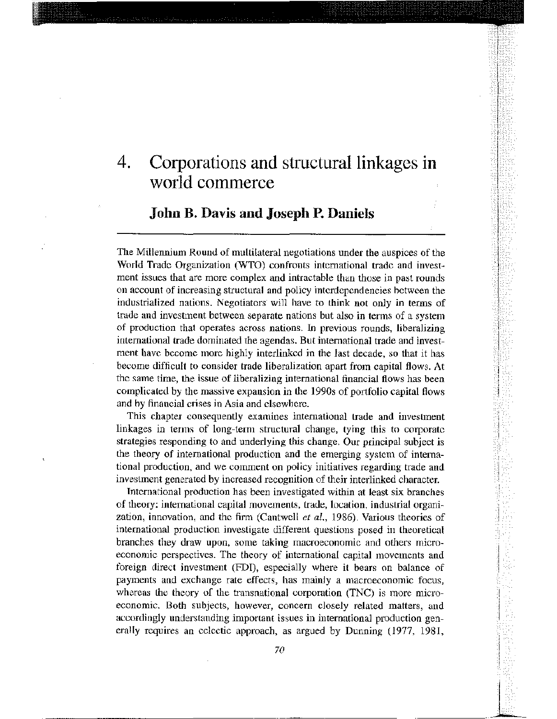## 4. Corporations and structural linkages in world commerce

## John B. Davis and Joseph P. Daniels

The Millennium Round of multilateral negotiations under the auspices of the World Trade Organization (WTO) confronts international trade and investment issues that are more complex and intractable than those in past rounds on account of increasing structural and policy interdependencies between the industrialized nations. Negotiators will have to think not only in terms of trade and investment between separate nations but also in terms of a system of production that operates across nations. In previous rounds, liberalizing international trade dominated the agendas. But international trade and investment have become more highly interlinked in the last decade, so that it has become difficult to consider trade liberalization apart from capital flows. At the same time, the issue of liberalizing international financial flows has been complicated by the massive expansion in the 1990s of portfolio capital flows and by financial crises in Asia and elsewhere.

This chapter consequently examines international trade and investment linkages in terms of long-term structural change, tying this to corporate strategies responding to and underlying this change. Our principal subject is the theory of international production and the emerging system of international production, and we comment on policy initiatives regarding trade and investment generated by increased recognition of their interlinked character.

International production has been investigated within at least six branches of theory: international capital movements, trade, location, industrial organization, innovation, and the firm (Cantwell *et al.,* 1986). Various theories of international production investigate different questions posed in theoretical branches they draw upon, some taking macroeconomic and others microeconomic perspectives. The theory of international capital movements and foreign direct investment (FDI), especially where it bears on balance of payments and exchange rate effects, has mainly a macroeconomic focus, whereas the theory of the transnational corporation (TNC) is more microeconomic. Both subjects, however, concern closely related matters, and accordingly understanding important issues in international production generally requires an eclectic approach, as argued by Dunning (1977, 1981,

.~~~-------------------------------------------------------------------- -------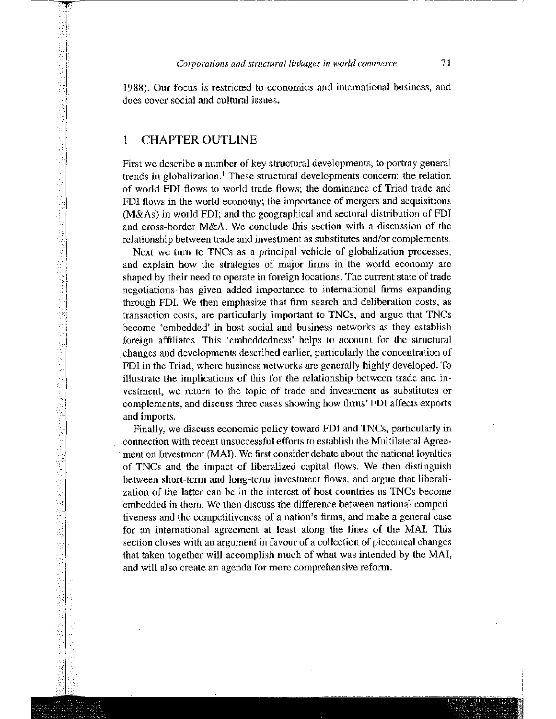**1988). OUf focus is restricted to economics and international business, and does cover social and cultural issues.** 

## 1 CHAPTER OUTLINE

, I<br>B

--'f.",~--------------- ---------~----------

First we describe a number of key structural developments, to portray general **trends in** globalization. <sup>1</sup>**These structural developments concern: the relation**  of world FOI flows to world trade flows; the dominance of Triad trade and **FDI flows in the world economy; the importance of mergers and acquisitions**  (M&As) in world FOI; and the geographical and sectoral distribution of FOI **and cross-border M&A. We conclude this section with a discussion of the relationship between trade and investment as substitutes and/or complements.** 

**Next we tum to TNCs as a principal vehicle of globalization processes,**  and explain how the strategies of major firms in the world economy are shaped by their need to operate in foreign locations. The current state of trade **negotiations has given added importance to international finns expanding**  through FDI. We then emphasize that firm search and deliberation costs, as transaction costs, are particularly important to TNCs, and argue that TNCs **become 'embedded' in host social and business networks as they establish**  foreign affiliates. This 'embeddedness' helps to account for the structural **changes and developments described earlier, particularly the concentration of**  FDI in the Triad, where business networks are generally highly developed. To illustrate the implications of this for the relationship between trade and in**vestment, we return to the topic of trade and investment as substitutes or complements, and discuss three cases showing how firms' FDI affects exports**  and imports.

Finally, we discuss economic policy toward FDI and TNCs, particularly in connection with recent unsuccessful efforts to establish the Multilateral Agreement on Investment (MAI). We first consider debate about the national loyalties of TNCs and the impact of liberalized capital flows. We then distinguish between short-term and long-term investment flows, and argue that liberali**zation of the latter can be in the interest of host countries as TNCs become**  embedded in them. We then discuss the difference between national competi**tiveness and the competitiveness of a nation's firms, and make a general case**  for an international agreement at least along the lines of the MAI. This **section closes with an argument in favour of a collection of piecemeal changes**  that taken together will accomplish much of what was intended by the MAl, **and will also create an agenda for more comprehensive reform.**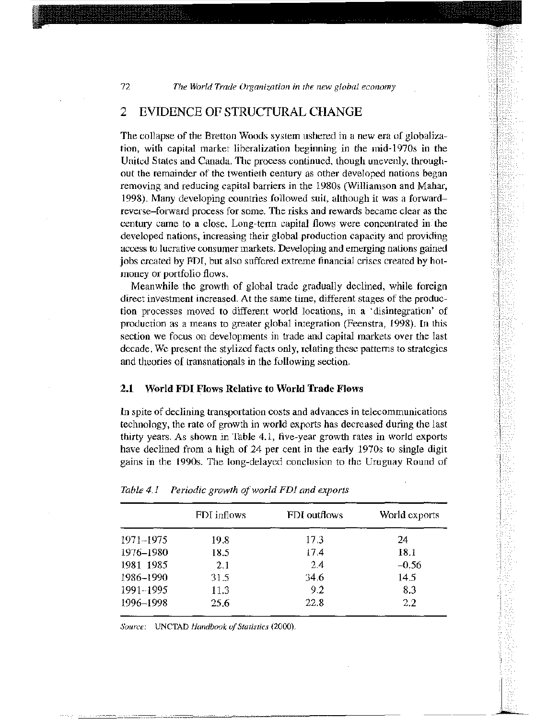## 2 EVIDENCE OF STRUCTURAL CHANGE

The collapse of the Bretton Woods system ushered in a new era of globalization, with capital market liberalization beginning in the mid-1970s in the United States and Canada. The process continued, though unevenly, throughout the remainder of the twentieth century as other developed nations began removing and reducing capital barriers in the 1980s (Williamson and Mahar, 1998). Many developing countries followed suit, although it was a forwardreverse-forward process for some. The risks and rewards became clear as the century came to a close. Long-term capital flows were concentrated in the developed nations, increasing their global production capacity and providing access to lucrative consumer markets. Developing and emerging nations gained jobs created by FDI, but also suffered extreme financial crises created by hotmoney or portfolio flows.

Meanwhile the growth of global trade gradually declined, while foreign direct investment increased. At the same time, different stages of the production processes moved to different world locations, in a 'disintegration' of production as a means to greater global integration (Feenstra, 1998). In this section we focus on developments in trade and capital markets over the last decade. We present the stylized facts only, relating these patterns to strategies and theories of transnationals in the following section.

#### 2.1 World FDI Flows Relative to World Trade Flows

In spite of declining transportation costs and advances in telecommunications technology, the rate of growth in world exports has decreased during the last thirty years. As shown in Table 4.1, five-year growth rates in world exports have declined from a high of 24 per cent in the early 1970s to single digit gains in the 1990s. The long-delayed conclusion to the Uruguay Round of

|               | FDI inflows | FDI outflows | World exports |  |  |
|---------------|-------------|--------------|---------------|--|--|
| $1971 - 1975$ | 19.8        | 17.3         | 24            |  |  |
| 1976-1980     | 18.5        | 17.4         | 18.1          |  |  |
| 1981 1985     | 2.1         | 2.4          | $-0.56$       |  |  |
| 1986-1990     | 31.5        | 34.6         | 14.5          |  |  |
| 1991-1995     | 11.3        | 9.2          | 8.3           |  |  |
| 1996-1998     | 25.6        | 22.8         | 2.2           |  |  |

*Table 4.1 Periodic growth of world FDI and exports* 

*Source:* UNCTAD *Handbook of Statistics (2000).*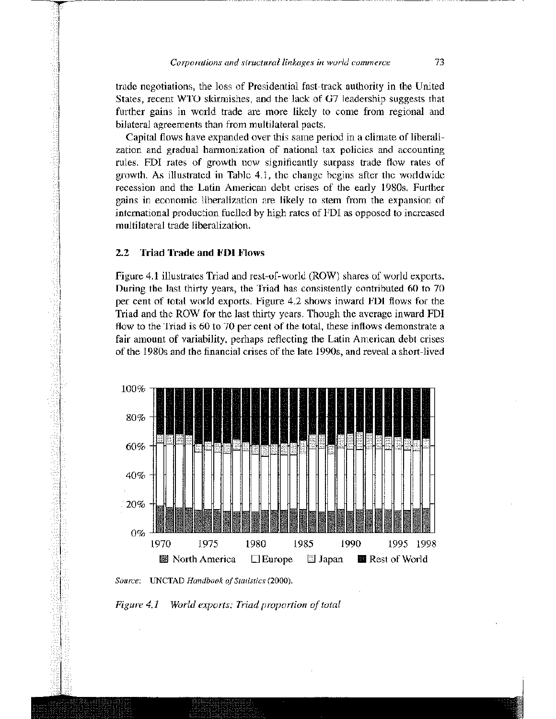trade negotiations, the loss of Presidential fast-track authority in the United States, recent WTO skirmishes, and the lack of G7 leadership suggests that further gains in world trade are more likely to come from regional and bilateral agreements than from multilateral pacts.

Capital flows have expanded over this same period in a climate of liberalization and gradual hannonization of national tax policies and accounting rules. FDI rates of growth now significantly surpass trade flow rates of growth. As illustrated in Table 4.1, the change begins after the worldwide recession and the Latin American debt crises of the early 1980s. Further gains in economic liberalization are likely to stem from the expansion of international production fuelled by high rates of FDI as opposed to increased multilateral trade liberalization.

#### 2.2 Triad Trade and FDI Flows

T---------

Figure 4.1 illustrates Triad and rest-of-world (ROW) shares of world exports. During the last thirty years, the Triad has consistently contributed 60 to 70 per cent of total world exports. Figure 4.2 shows inward FDI flows for the Triad and the ROW for the last thirty years. Though the average inward FDI flow to the Triad is 60 to 70 per cent of the total, these inflows demonstrate a fair amount of variability, perhaps reflecting the Latin American debt crises of the 1980s and the financial crises of the late 1990s. and reveal a short-lived



*Source:* UNCTAD *Handbook of Statistics (2000).* 

*Figure* 4.1 *World exports: Triad proportion of total*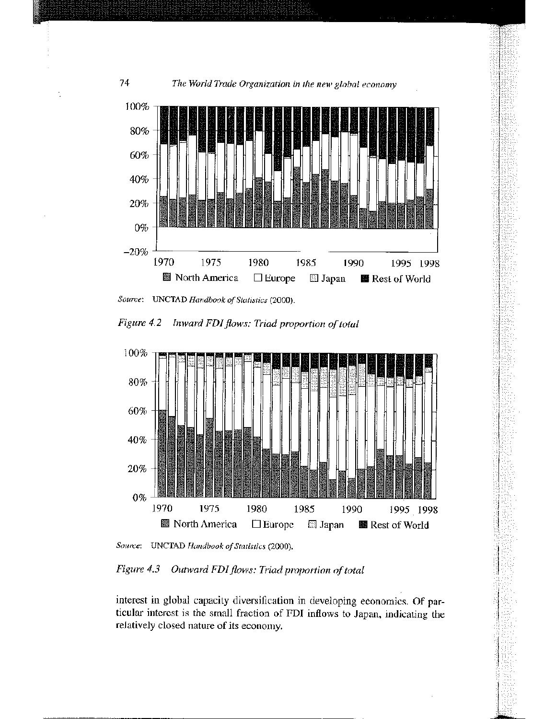



*Source:* **UNCTAD** *Handbook of Statistics* (2000).

*Figure* 4.2 *Inward FDI flows: Triad proportion of total* 



*Source:* **UNCTAD** *Handbook of Statistics* **(2QOO).** 

*Figure* 4.3 *Outward FDI flows: Triad proportion of total* 

interest in global capacity diversification in developing economies. Of particular interest is the small fraction of **PDI** inflows to Japao, indicating the **relatively closed nature of its economy.**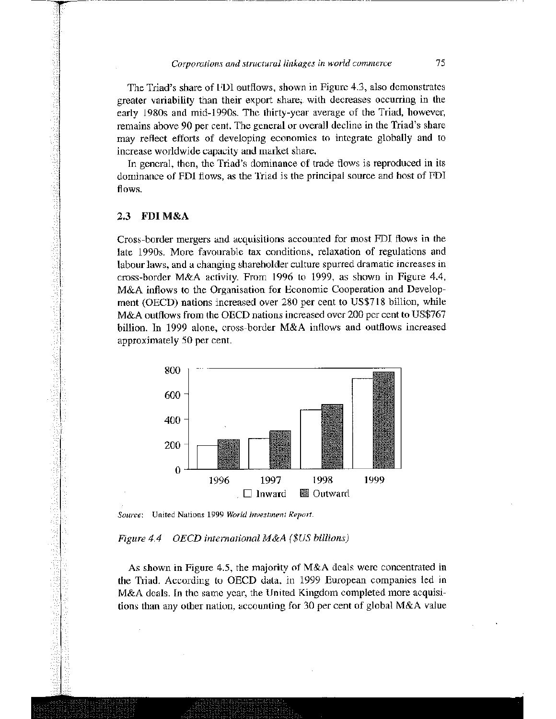---"-...~-- - - ------------ -----------"-- --------- -----------

The Triad's share of FDI outflows, shown in Figure 4.3, also demonstrates **greater variability than their export share; with decreases occurring in the**  early 1980s and mid-1990s. The thirty-year average of the Triad, however, **remains above 90 per cent. The general or overall decline in the Triad's share**  may reflect efforts of developing economies to integrate globally and to **increase worldwide capacity and market share.** 

**In general, then, the Triad's dominance of trade flows is reproduced in its**  dominance of FDI flows, as the Triad is the principal source and host of FDl **flows.** 

#### 2.3 **FDIM&A**

**Cross-border mergers and acquisitions accounted for most FDI flows in the**  late 1990s. More favourable tax conditions, relaxation of regulations and **labour laws, and a changing shareholder culture spurred dramatic increases in**  cross-border M&A activity. From 1996 to 1999, as shown in Figure 4.4, M&A inflows to the Organisation for Economic Cooperation and Development (OECD) nations increased over 280 per cent to US\$718 billion, while M&A outflows from the OECD nations increased over 200 per cent to US\$767 billion. In 1999 alone, cross-border M&A inflows and outflows increased approximately 50 per cent.



*Source:* **United Nations 1999** *World Investment Report.* 

#### *Figure 4.4 OECD international M&A (\$US billions)*

As shown in Figure 4.5, the majority of M&A deals were concentrated in the Triad. According to OECD data, in 1999 European companies led in M&A deals. In the same year, the United Kingdom completed more acquisitions than any other nation, accounting for 30 per cent of global M&A value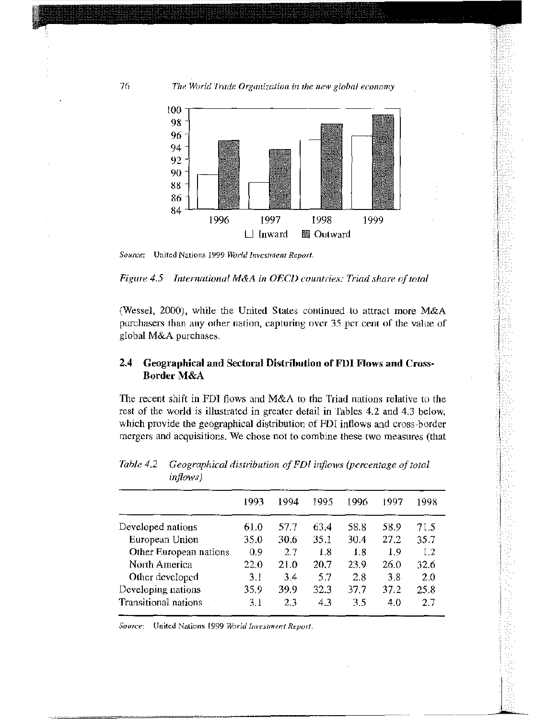

*Source:* United Nations 1999 *World Investment Report.* 

*Figure 4.5 International M&A in OECD countries: Triad share of total* 

(Wessel, 2000), while the United States continued to attract more M&A purchasers than any other nation, capturing over 35 per cent of the value of global M&A purchases,

## 2.4 Geographical and Sectoral Distribution of FDI Flows and Cross-Border M&A

The recent shift in FDI flows and M&A to the Triad nations relative to the rest of the world is illustrated in greater detail in Tables 4.2 and 4.3 below, which provide the geographical distribution of FDI inflows and cross-border mergers and acquisitions. We chose not to combine these two measures (that

|                        | 1993 | 1994 | 1995 | 1996 | 1997 | 1998 |
|------------------------|------|------|------|------|------|------|
| Developed nations      | 61.0 | 57.7 | 63.4 | 58.8 | 58.9 | 71.5 |
| European Union         | 35.0 | 30.6 | 35.1 | 30.4 | 27.2 | 35.7 |
| Other European nations | 0.9  | 2.7  | 1.8  | 1.8  | 1.9  | 1.2  |
| North America          | 22.0 | 21.0 | 20.7 | 23.9 | 26.0 | 32.6 |
| Other developed        | 3.1  | 34   | 5.7  | 2.8  | 3.8  | 2.0  |
| Developing nations     | 35.9 | 39.9 | 32.3 | 37.7 | 37.2 | 25.8 |
| Transitional nations   | 3.1  | 2.3  | 4.3  | 3.5  | 4.0  | 2.7  |

*Table 4.2 Geographical distribution of FDI inflows (percentage of total inflows)* 

*Source;* United Nations [999 *World Investment Report.*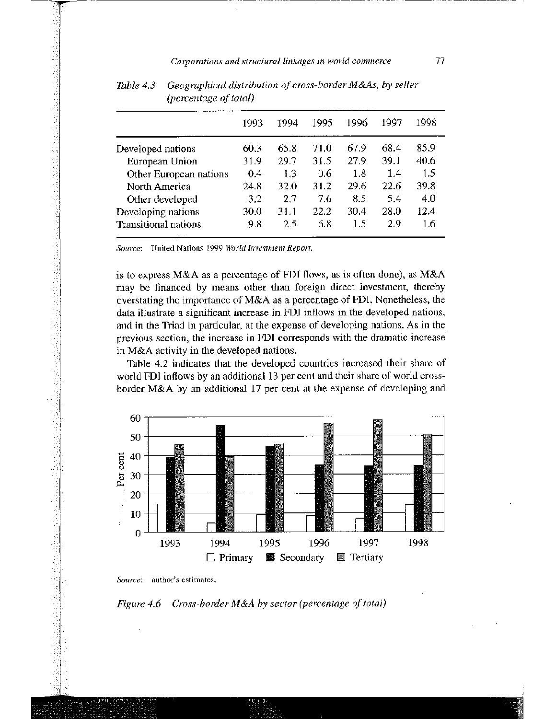*Corporations and structural linkages in world commerce* **77** 

|                        | 1993 | 1994 | 1995 | 1996    | 1997 | 1998 |
|------------------------|------|------|------|---------|------|------|
| Developed nations      | 60.3 | 65.8 | 71.0 | 67.9    | 68.4 | 85.9 |
| European Union         | 31.9 | 29.7 | 31.5 | 27.9    | 39.1 | 40.6 |
| Other European nations | 0.4  | 1.3  | 0.6  | $1.8\,$ | 1.4  | 1.5  |
| North America          | 24.8 | 32.0 | 31.2 | 29.6    | 22.6 | 39.8 |
| Other developed        | 3.2  | 2.7  | 7.6  | 8.5     | 5.4  | 4.0  |
| Developing nations     | 30.0 | 31.1 | 22.2 | 30.4    | 28.0 | 12.4 |
| Transitional nations   | 9.8  | 2.5  | 6.8  | 1.5     | 2.9  | 1.6  |

*Table* 4.3 *Geographical distribution of cross-border M&As, by seller (percentage of total)* 

*Source:* **United Nations 1999** *World Investment Report.* 

-I

is to express M&A as a percentage of FOI flows, as is often done), as M&A may be financed by means other than foreign direct investment, thereby overstating the importance of M&A as a percentage of FDr. Nonetheless, the **data illustrate a significant increase in FDI inflows in the developed nations,**  and in the Triad in particular, at the expense of developing nations. As in the **previous section, the increase in FDI corresponds with the dramatic increase**  in M&A activity in the developed nations.

Table 4.2 indicates that the developed countries increased their share of world FDI inflows by an additional 13 per cent and their share of world crossborder M&A by an additional I7 per cent at the expense of developing and



*Source:* **author's estimates.** 

*Figure* 4.6 *Cross-border M&A by sector (percentage of total)*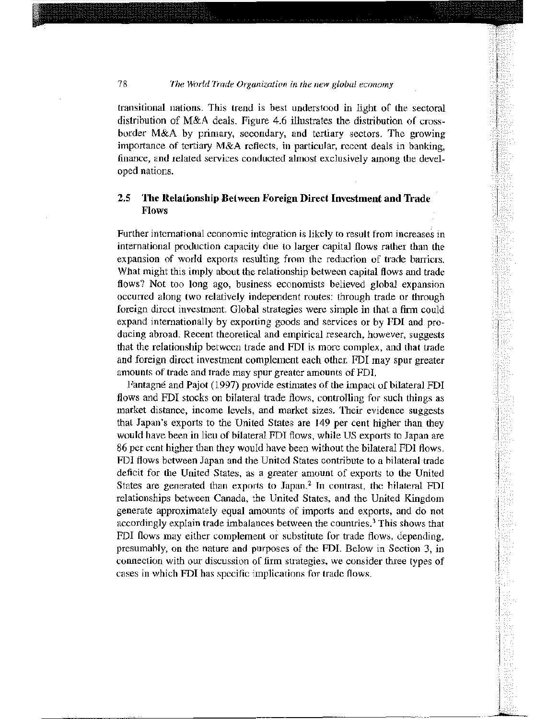transitional nations. This trend is best understood in light of the sectoral distribution of M&A deals. Figure 4.6 illustrates the distribution of crossborder M&A by primary, secondary, and tertiary sectors. The growing importance of tertiary M&A reflects, in particular, recent deals in banking, finance, and related services conducted almost exclusively among the developed nations.

## 2.5 The Relationship Between Foreign Direct Investment and Trade Flows

Further international economic integration is likely to result from increases in international production capacity due to larger capital flows rather than the expansion of world exports resulting from the reduction of trade barriers. What might this imply about the relationship between capital flows and trade flows? Not too long ago, business economists believed global expansion occurred along two relatively independent routes: through trade or through foreign direct investment. Global strategies were simple in that a firm could expand internationally by exporting goods and services or by FDI and producing abroad. Recent theoretical and empirical research, however, suggests that the relationship between trade and FDI is more complex, and that trade and foreign direct investment complement each other. FOI may spur greater amounts of trade and trade may spur greater amounts of FDI.

Fantagne and Pajot (1997) provide estimates of the impact of bilateral FDI flows and FDI stocks on bilateral trade flows, controlling for such things as market distance, income levels, and market sizes. Their evidence suggests that Japan's exports to the United States are 149 per cent higher than they would have been in lieu of bilateral FOI flows, while US exports to Japan are 86 per cent higher than they would have been without the bilateral FOI flows. FDI flows between Japan and the United States contribute to a bilateral trade deficit for the United States, as a greater amount of exports to the United States are generated than exports to Japan.<sup>2</sup> In contrast, the bilateral FDI relationships between Canada, the United States, and the United Kingdom generate approximately equal amounts of imports and exports, and do not accordingly explain trade imbalances between the countries. 3 This shows that FOI flows may either complement or substitute for trade flows, depending, presumably, on the nature and purposes of the FDI. Below in Section 3, in connection with our discussion of firm strategies, we consider three types of cases in which FDI has specific implications for trade flows.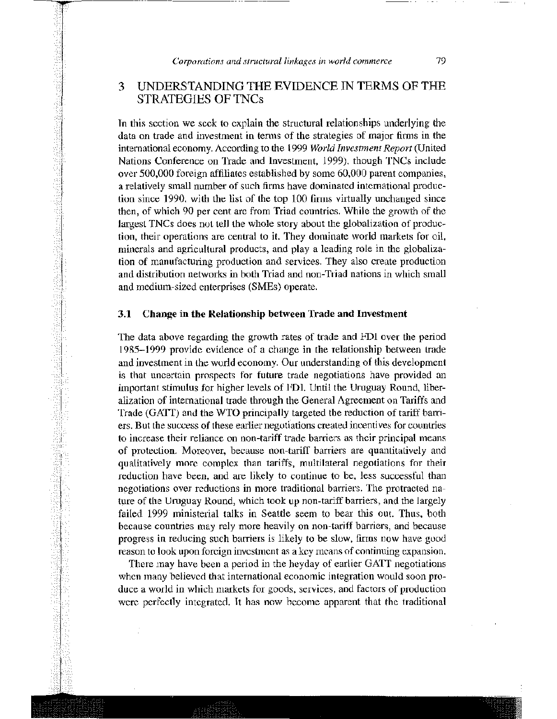*Corporations and structural linkages in world commerce 79* 

1----------------

## 3 UNDERSTANDING THE EVIDENCE IN TERMS OF THE STRATEGIES OF TNCs

In this section we seek to explain the structural relationships underlying the data on trade and investment in terms of the strategies of major firms in the international economy. According to the 1999 *World Investment Report* (United Nations Conference on Trade and Investment, 1999), though TNCs include over 500,000 foreign affiliates established by some 60,000 parent companies, a relatively small number of such firms have dominated international production since 1990, with the list of the top 100 firms virtually unchanged since then, of which 90 per cent are from Triad countries. While the growth of the largest TNCs does not tell the whole story about the globalization of production, their operations are central to it. They dominate world markets for oil, minerals and agricultural products, and playa leading role in the globalization of manufacturing production and services. They also create production and distribution networks in both Triad and non-Triad nations in which small and medium-sized enterprises (SMEs) operate.

#### 3.1 Change in the Relationship between Trade and Investment

The data above regarding the growth rates of trade and FDI over the period 1985-1999 provide evidence of a change in the relationship between trade and investment in the world economy. Our understanding of this development is that uncertain prospects for future trade negotiations have provided an important stimulus for higher levels of FDI. Until the Uruguay Round, liberalization of international trade through the General Agreement on Tariffs and Trade (GATT) and the WTO principally targeted the reduction of tariff barriers. But the success of these earlier negotiations created incentives for countries to increase their reliance on non-tariff trade barriers as their principal means of protection. Moreover, because non-tariff barriers are quantitatively and qualitatively more complex than tariffs, multilateral negotiations for their reduction have been, and are likely to continue to be, less successful than negotiations over reductions in more traditional barriers. The protracted nature of the Uruguay Round, which took up non-tariff barriers, and the largely failed 1999 ministerial talks in Seattle seem to bear this out. Thus, both because countries may rely more heavily on non-tariff barriers, and because progress in reducing such barriers is likely to be slow, firms now have good reason to look upon foreign investment as a key means of continuing expansion.

There may have been a period in the heyday of earlier GATT negotiations when many believed that international economic integration would soon produce a world in which markets for goods, services, and factors of production were perfectly integrated. It has now become apparent that the traditional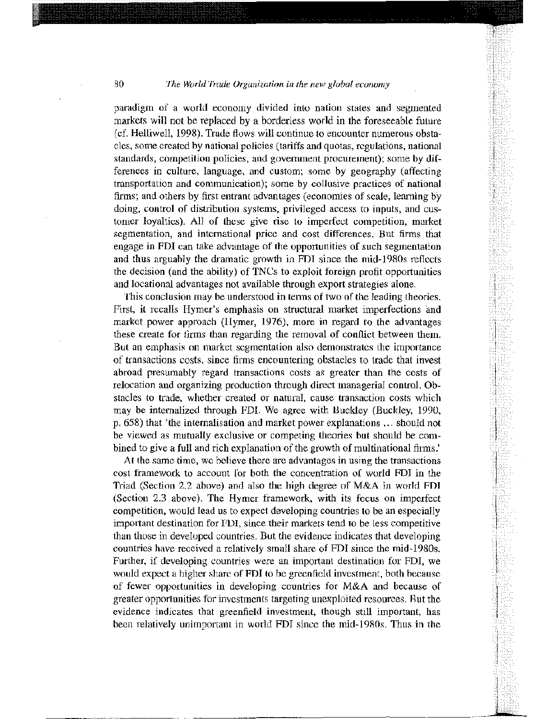paradigm of a world economy divided into nation states and segmented markets will not be replaced by a borderless world in the foreseeable future (cf. Helliwell, 1998). Trade flows will continue to encounter numerous obstacles, some created by national policies (tariffs and quotas, regulations, national standards, competition policies, and government procurement); some by differences in culture, language, and custom; some by geography (affecting **transportation and communication); some by collusive practices of national**  firms; and others by first entrant advantages (economies of scale, learning by doing, control of distribution systems, privileged access to inputs, and customer loyalties). All of these give rise to imperfect competition, market **segmentation, and international price and cost differences. But firms that**  engage in FOI can take advantage of the opportunities of such segmentation and thus arguably the dramatic growth in FOI since the mid-1980s reflects the decision (and the ability) of TNCs to exploit foreign profit opportunities and locational advantages not available through export strategies alone.

This conclusion may be understood in terms of two of the leading theories. **First, it recalls Hymer's emphasis on structural market imperfections and**  market power approach (Hymer, 1976), more in regard to the advantages **these create for firms than regarding the removal of conflict between them. But an emphasis on market segmentation also demonstrates the importance**  of transactions costs, since firms encountering obstacles to trade that invest **abroad presumably regard transactions costs as greater than the costs of relocation and organizing production through direct managerial control. Obstacles to trade, whether created or natural, cause transaction costs which**  may be internalized through PDI. We agree with Buckley (Buckley, 1990, p. 658) that 'the internalisation and market power explanations ... should not be viewed as mutually exclusive or competing theories but should be combined to give a full and rich explanation of the growth of multinational firms.'

**At the same time, we believe there are advantages in using the transactions**  cost framework to account for both the concentration of world FOI in the Triad (Section 2.2 above) and also the high degree of M&A in world FOI (Section 2.3 above). The Hymer framework, with its focus on imperfect competition, would lead us to expect developing countries to be an especially important destination for FOI, since their markets tend to be less competitive than those in developed countries. But the evidence indicates that developing countries have received a relatively small share of PDI since the mid-1980s. **Further, if developing countries were an important destination for FDT, we**  would expect a higher share of FOI to be greenfield investment, both because **of fewer opportunities in developing countries for M&A and because of**  greater opportunities for investments targeting unexploited resources. But the evidence indicates that greenfield investment, though still important, has been relatively unimportant in world PDI since the mid-1980s. Thus in the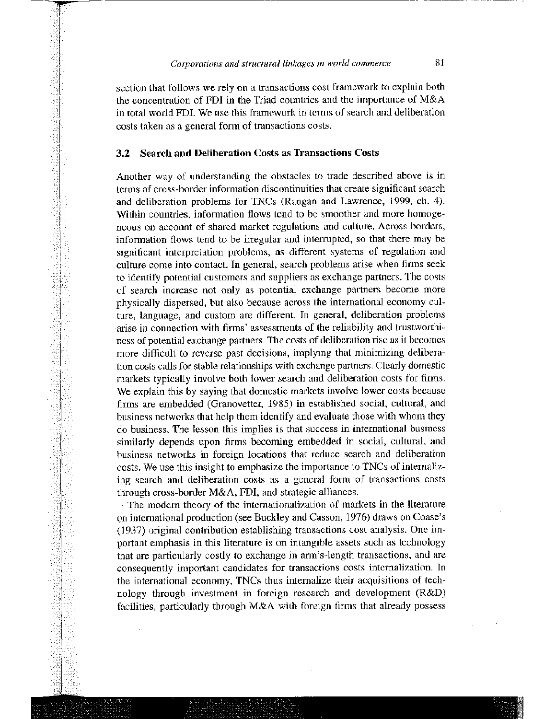**section that follows we rely on a transactions cost framework to explain both**  the concentration of FDI in the Triad countries and the importance of M&A in total world POI. We use this framework in terms of search and deliberation **costs taken as a general form of transactions costs.** 

#### 3.2 **Search and Deliberation** Costs as **Transactions** Costs

i

-----.---- ------------------------------------- -------

Another way of understanding the obstacles to trade described above is in **terms of cross-border information discontinuities that create significant search**  and deliberation problems for TNCs (Rangan and Lawrence, 1999, ch. 4). **Within countries, information flows tend to be smoother and more homogeneous on account of shared market regulations and culture. Across borders,**  information flows tend to be irregular and interrupted, so that there may be **significant interpretation problems, as different systems of regulation and culture come into contact. In general. search problems arise when firms seek**  to identify potential customers and suppliers as exchange partners. The costs **of search increase not only as potential exchange partners become more**  physically dispersed, but also because across the international economy culture, language, and custom are different. In general, deliberation problems **arise in connection with firms' assessments of the reliability and trustworthiness of potential exchange partners. The costs of deliberation rise as it becomes more difficult to reverse past decisions, implying that minimizing delibera**tion costs calls for stable relationships with exchange partners. Clearly domestic markets typically involve both lower search and deliberation costs for firms. **We explain this by saying that domestic markets involve lower costs because**  firms are embedded (Granovetter, 1985) in established social, cultural, and business networks that help them identify and evaluate those with whom they **do business. The lesson this implies is that success in international business**  similarly depends upon firms becoming embedded in social, cultural, and **business networks in foreign locations that reduce search and deliberation costs. We use this insight to emphasize the importance to TNCs of internalizing search and deliberation costs as a general form of transactions costs**  through cross-border M&A, POI, and strategic alliances.

**The modern theory of the internationalization of markets in the literature**  on international production (see Buckley and Casson, 1976) draws on Coase's (1937) original contribution establishing transactions cost analysis. One im**portant emphasis in this literature is on intangible assets such as technology**  that are particularly costly to exchange in arm's-length transactions, and are **consequently important candidates for transactions costs internalization. In the international economy, TNCs thus internalize their acquisitions of tech**nology through investment in foreign research and development (R&D) facilities, particularly through M&A with foreign firms that already possess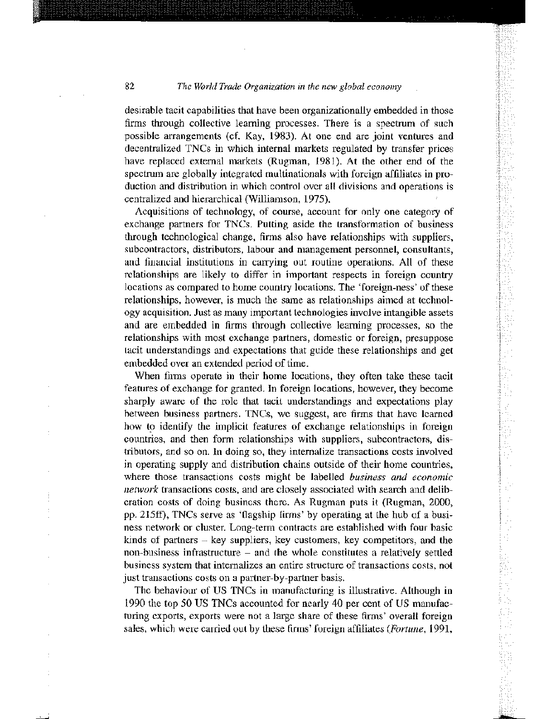desirable tacit capabilities that have been organizationally embedded in those **firms through collective learning processes. There is a spectrum of such**  possible arrangements (cf. Kay, 1983). At one end are joint ventures and decentralized TNCs in which internal markets regulated by transfer prices have replaced external markets (Rugman, 1981). At the other end of the spectrum are globally integrated multinationals with foreign affiliates in pro**duction and distribution in which control over all divisions and operations is**  centralized and hierarchical (Williamson, 1975).

Acquisitions of technology, of course, account for only one category of exchange partners for TNCs. Putting aside the transformation of business through technological change, firms also have relationships with suppliers, **subcontractors, distributors, labour and management personnel, consultants, and financial institutions in carrying out routine operations. All of these**  relationships are likely to differ in important respects in foreign country **locations as compared to home country locations. The 'foreign-ness' of these relationships, however, is much the same as relationships aimed at technology acquisition. Just as many important technologies involve intangible assets**  and are embedded in firms through collective learning processes, so the relationships with most exchange partners, domestic or foreign, presuppose tacit understandings and expectations that guide these relationships and get embedded over an extended period of time.

When firms operate in their home locations, they often take these tacit **features of exchange for granted. In foreign locations, however, they become**  sharply aware of the role that tacit understandings and expectations play between business partners. TNCs, we suggest, are firms that have learned how to identify the implicit features of exchange relationships in foreign **countries, and then fonn relationships with suppliers, subcontractors, distributors, and so on. In doing so, they internalize transactions costs involved in operating supply and distribution chains outside of their horne countries, where those transactions costs might be labelled** *business and economic network* **transactions costs, and are closely associated with search and delib**eration costs of doing business there. As Rugman puts it (Rugman, 2000, pp. 215ff), TNCs serve as 'flagship firms' by operating at the hub of a busi**ness network or cluster. Long-term contracts are established with four basic**  kinds of partners  $-$  key suppliers, key customers, key competitors, and the **non-business infrastructure - and the whole constitutes a relatively settled business system that internalizes an entire structure of transactions costs, not just transactions costs on a partner-by-partner basis.** 

The behaviour of US TNCs in manufacturing is illustrative. Although in 1990 the top 50 US TNCs accounted for nearly 40 per cent of US manufac**turing exports, exports were not a large share of these firms' overall foreign**  sales, which were carried out by these firms' foreign affiliates *(Fortune, 1991,*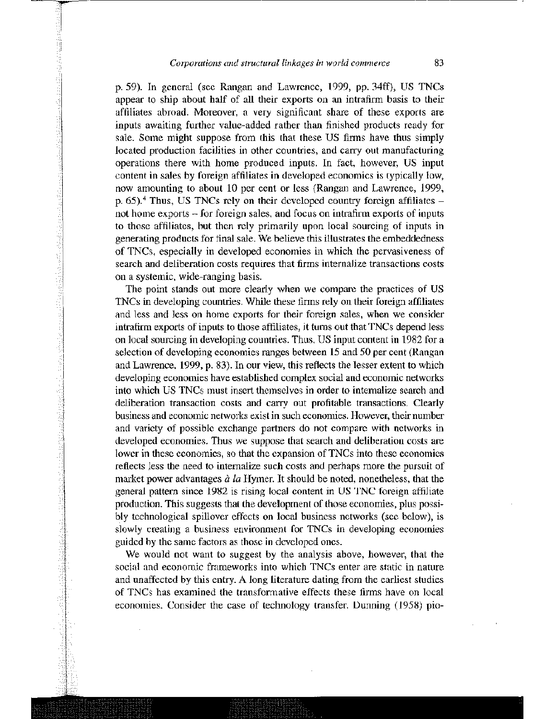--"--~----------------------------------"-----------------------------------------------

p. 59). In general (see Rangan and Lawrence, 1999, pp. 34ff), US TNCs appear to ship about half of all their exports on an intrafirm basis to their **affiliates abroad. Moreover, a very significant share of these exports are**  inputs awaiting further value-added rather than finished products ready for sale. Some might suppose from this that these US firms have thus simply located production facilities in other countries, and carry out manufacturing **operations there with home produced inputs. In fact, however, US input**  content in sales by foreign affiliates in developed economics is typically low, now amounting to about 10 per cent or less (Rangan and Lawrence, 1999, p. 65).<sup>4</sup> Thus, US TNCs rely on their developed country foreign affiliates  $$ not home exports - for foreign sales, and focus on intrafirm exports of inputs to those affiliates, but then rely primarily upon local sourcing of inputs in generating products for final sale. We believe this illustrates the embeddedness of TNCs, especially in developed economies in which the pervasiveness of **search and deliberation costs requires that firms internalize transactions costs on a systemic, wide-ranging basis.** 

The point stands out more clearly when we compare the practices of US TNCs in developing countries. While these firms rely on their foreign affiliates **and less and less on home exports for their foreign sales, when we consider**  intrafirm exports of inputs to those affiliates, it turns out that TNCs depend less on local sourcing in developing countries. Thus, US input content in 1982 for a selection of developing economies ranges between IS and 50 per cent (Rangan and Lawrence, 1999, p. 83). In our view, this reflects the lesser extent to which **developing economies have established complex social and economic networks**  into which US TNCs must insert themselves in order to internalize search and deliberation transaction costs and carry out profitable transactions. Clearly **business and economic networks exist in such economies. However, their number**  and variety of possible exchange partners do not compare with networks in **developed economies. Thus we suppose that search and deliberation costs are lower in these economies, so that the expansion of TNCs into these economies reflects less the need to internalize such costs and perhaps more the pursuit of**  market power advantages  $\dot{a}$  *la* Hymer. It should be noted, nonetheless, that the general pattern since 1982 is rising local content in US TNC foreign affiliate production. This suggests that the development of those economies, plus possibly technological spillover effects on local business networks (see below), is slowly creating a business environment for TNCs in developing economies **guided by the same factors as those in developed ones.** 

We would not want to suggest by the analysis above, however, that the **social and economic frameworks into which TNCs enter are static in nature**  and unaffected by this entry. A long literature dating from the earliest studies of TNCs has examined the transformative effects these firms have on local economies. Consider the case of technology transfer. Dunning (1958) pio-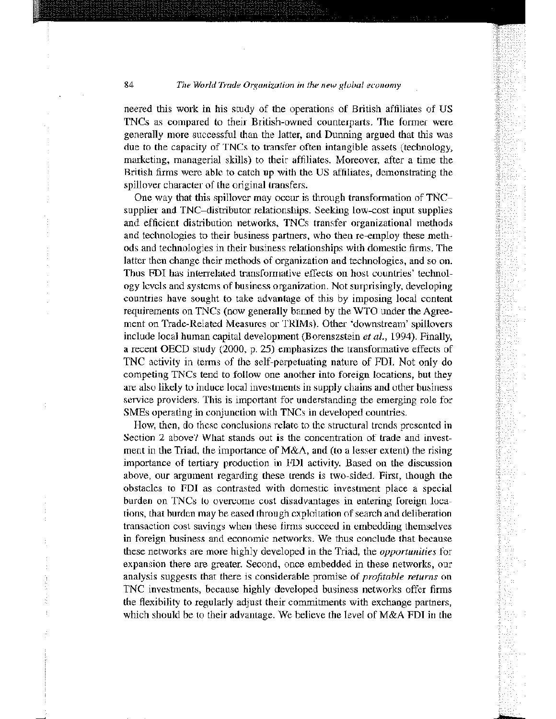neered this work in his study of the operations of British affiliates of US TNCs as compared to their British-owned counterparts. The former were generally more successful than the latter, and Dunning argued that this was due to the capacity of TNCs to transfer often intangible assets (technology, marketing, managerial skills) to their affiliates. Moreover, after a time the British firms were able to catch up with the US affiliates, demonstrating the **spillover character of the original transfers.** 

One way that this spillover may occur is through transformation of TNCsupplier and TNC-distributor relationships. Seeking low-cost input supplies and efficient distribution networks, TNCs transfer organizational methods **and technologies to their business partners, who then re-employ these methods and technologies in their business relationships with domestic firms. The**  latter then change their methods of organization and technologies, and so on. **Thus FDI has interrelated transformative effects on host countries' technology levels and systems of business organization. Not surprisingly, developing**  countries have sought to take advantage of this by imposing local content requirements on TNCs (now generally banned by the WTO under the Agreement on Trade-Related Measures or TRIMs). Other 'downstream' spillovers include local human capital development (Borenszstein *et al.,* 1994). Finally, a recent OECD study (2000, p. 25) emphasizes the transformative effects of TNC activity in terms of the self-perpetuating nature of FDl. Not only do competing TNCs tend to follow one another into foreign locations, but they **are also likely to induce local investments in supply chains and other business service providers. This is important for understanding the emerging role for SMEs operating in conjunction with TNCs in developed countries.** 

How, then, do these conclusions relate to the structural trends presented in **Section 2 above? What stands out is the concentration of trade and invest**ment in the Triad, the importance of  $M&A$ , and (to a lesser extent) the rising **importance of tertiary production in FDI activity. Based on the discussion above, our argument regarding these trends is two-sided. First, though the**  obstacles to FDI as eontrasted with domestic investment place a speeial **burden on TNCs to overcome cost disadvantages in entering foreign loca**tions, that burden may be eased through exploitation of search and deliberation **transaction cost savings when these firms succeed in embedding themselves in foreign business and economic networks. We thus conclude that because**  these networks are more highly developed in the Triad, the *opportunities* for **expansion there are greater. Second, once embedded in these networks, our analysis suggests that there is considerable promise of** *profitable returns* **on**  TNC investments, because highly developed business networks offer firms the flexibility to regularly adjust their commitments with exchange partners, which should be to their advantage. We believe the level of M&A FDI in the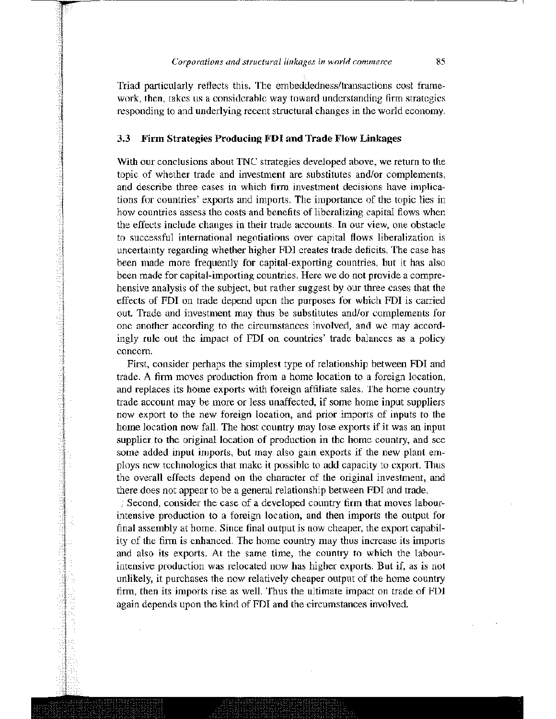Triad particularly reflects this. The embeddedness/transactions cost framework, then, takes us a considerable way toward understanding firm strategies responding to and underlying recent structural changes in the world economy.

#### 3.3 Firm Strategies Producing FDI and Trade Flow Linkages

With our conclusions about TNC strategies developed above, we return to the topic of whether trade and investment are substitutes and/or complements, and describe three cases in which firm investment decisions have implications for countries' exports and imports. The importance of the topic lies in how countries assess the costs and benefits of liberalizing capital flows when the effects include changes in their trade accounts. In our view, one obstacle to successful international negotiations over capital flows liberalization is uncertainty regarding whether higher FOI creates trade deficits. The case has been made more frequently for capital-exporting countries, but it has also been made for capital-importing countries. Here we do not provide a comprehensive analysis of the subject, but rather suggest by our three cases that the effects of FDI on trade depend upon the purposes for which FDI is carried out. Trade and investment may thus be substitutes andlor complements for one another according to the circumstances involved, and we may accordingly rule out the impact of FDI on countries' trade balances as a policy concern.

First, consider perhaps the simplest type of relationship between FDI and trade. A finn moves production from a home location to a foreign location, and replaces its home exports with foreign affiliate sales. The home country trade account may be more or less unaffected, if some home input suppliers now export to the new foreign location, and prior imports of inputs to the home location now fall. The host country may lose exports if it was an input supplier to the original location of production in the home country, and see some added input imports, but may also gain exports if the new plant employs new technologies that make it possible to add capacity to export. Thus the overall effects depend on the character of the original investment, and there does not appear to be a general relationship between FOI and trade.

Second, consider the case of a developed country firm that moves labourintensive production to a foreign location, and then imports the output for final assembly at home. Since final output is now cheaper, the export capability of the finn is enhanced. The horne country may thus increase its imports and also its exports. At the same time, the country to which the labourintensive production was relocated now has higher exports. But if, as is not unlikely, it purchases the now relatively cheaper output of the home country firm, then its imports rise as well. Thus the ultimate impact on trade of FDI again depends upon the kind of FDI and the circumstances involved.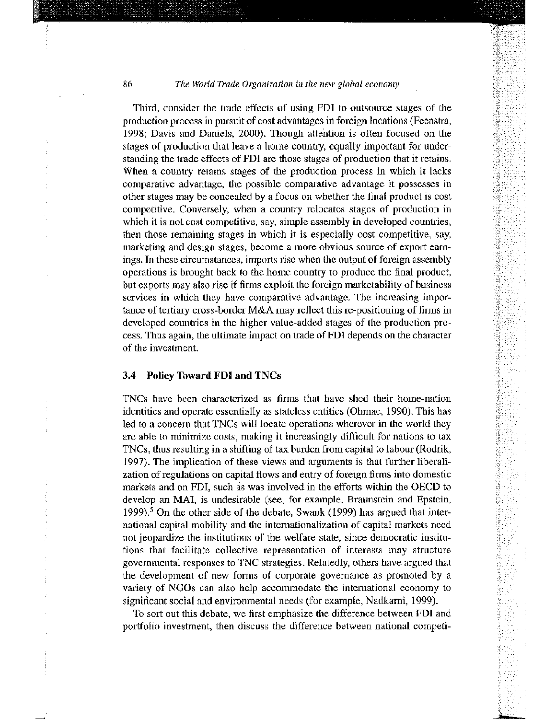#### *86 The World Trade Organization in the new global economy*

Third, consider the trade effects of using FDI to outsource stages of the production process in pursuit of cost advantages in foreign locations (Feenstra, 1998; Davis and Daniels, 2000). Though attention is often focused on the stages of production that leave a horne country, equally important for understanding the trade effects of FDI are those stages of production that it retains. When a country retains stages of the production process in which it lacks comparative advantage, the possible comparative advantage it possesses in other stages may be concealed by a focus on whether the final product is cost competitive. Conversely, when a country relocates stages of production in which it is not cost competitive, say, simple assembly in developed countries, then those remaining stages in which it is especially cost competitive, say, marketing and design stages, become a more obvious source of export earnings. **In** these circumstances, imports rise when the output of foreign assembly operations is brought back to the home country to produce the final product, but exports may also rise if firms exploit the foreign marketability of business services in which they have comparative advantage. The increasing importance of tertiary cross-border M&A may reflect this re-positioning of firms in developed countries in the higher value-added stages of the production process. Thus again, the ultimate impact on trade of FDI depends on the character of the investment.

#### 3.4 Policy Toward FDI and TNCs

TNCs have been characterized as firms that have shed their home-nation identities and operate essentially as stateless entities (Ohmae, 1990). This has led to a concern that TNCs will locate operations wherever in the world they are able to minimize costs, making it increasingly difficult for nations to tax TNCs, thus resulting in a shifting of tax burden from capital to labour (Rodrik, 1997). The implication of these views and arguments is that further liberalization of regulations on capital flows and entry of foreign firms into domestic markets and on FDI, such as was involved in the efforts within the OECD to develop an MAl, is undesirable (see, for example, Braunstein and Epstein, 1999).<sup>5</sup> On the other side of the debate, Swank (1999) has argued that international capital mobility and the internationalization of capital markets need not jeopardize the institutions of the welfare state, since democratic institutions that facilitate collective representation of interests may structure governmental responses to TNC strategies. Relatedly, others have argued that the development of new forms of corporate governance as promoted by a variety of NOOs can also help accommodate the international economy to significant social and environmental needs (for example, Nadkarni, 1999).

To sort out this debate, we first emphasize the difference between FD! and portfolio investment, then discuss the difference between national competi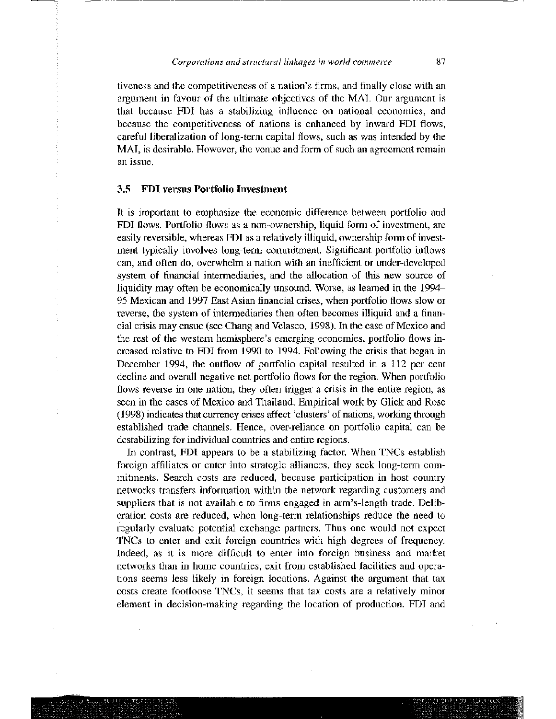tiveness and the competitiveness of a nation's firms, and finally close with an argument in favour of the ultimate objectives of the MAI. Our argument is that because FDI has a stabilizing influence on national economies, and because the competitiveness of nations is enhanced by inward FDI flows, careful liberalization of long-term capital flows, such as was intended by the MAl, is desirable. However, the venue and form of such an agreement remain an issue.

#### 3.5 FDI versus Portfolio Investment

---- -- - ------------------------------

It is important to emphasize the economic difference between portfolio and FDI flows. Portfolio flows as a non-ownership, liquid form of investment, are easily reversible, whereas FDI as a relatively illiquid, ownership fonn of investment typically involves long-term commitment. Significant portfolio inflows can, and often do, overwhelm a nation with an inefficient or under-developed system of financial intermediaries, and the allocation of this new source of liquidity may often be economically unsound. Worse, as learned in the 1994- 95 Mexican and 1997 East Asian financial crises, when portfolio flows slow or reverse, the system of intermediaries then often becomes illiquid and a financial crisis may ensue (see Chang and Velasco, 1998). In the case of Mexico and the rest of the western hemisphere's emerging economies, portfolio flows increased relative to FDI from 1990 to 1994. Following the crisis that began in December 1994, the outflow of portfolio capital resulted in a 112 per cent decline and overall negative net portfolio flows for the region. When portfolio flows reverse in one nation, they often trigger a crisis in the entire region, as seen in the cases of Mexico and Thailand. Empirical work by Glick and Rose (1998) indicates that currency crises affect 'clusters' of nations, working through established trade channels. Hence, over-reliance on portfolio capital can be destabilizing for individual countries and entire regions.

In contrast, FDI appears to be a stabilizing factor. When TNCs establish foreign affiliates or enter into strategic alliances, they seek long-term commitments. Search costs are reduced, because participation in host country networks transfers information within the network regarding customers and suppliers that is not available to firms engaged in arm's-length trade. Deliberation costs are reduced, when long-term relationships reduce the need to regularly evaluate potential exchange partners. Thus one would not expect TNCs to enter and exit foreign countries with high degrees of frequency. Indeed, as it is more difficult to enter into foreign business and market networks than in home countries, exit from established facilities and operations seems less likely in foreign locations. Against the argument that tax costs create footloose TNCs, it seems that tax costs are a relatively minor element in decision-making regarding the location of production. FDI and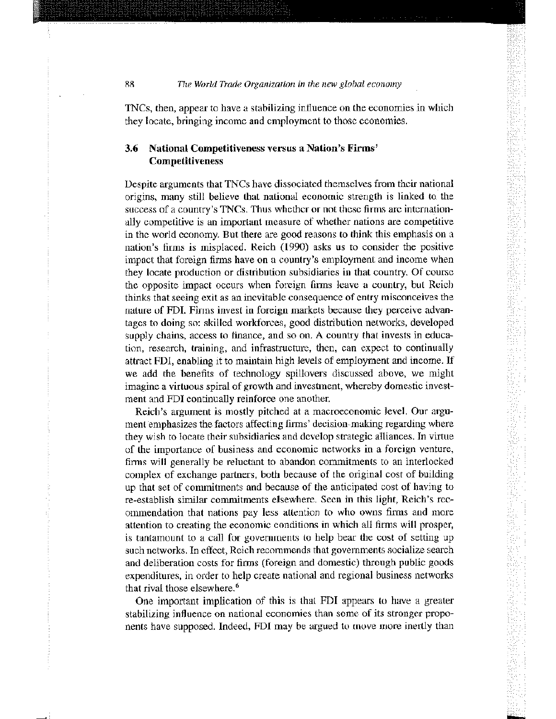**TNCs, then, appear to have a stabilizing influence on the economies in which**  they locate, bringing income and employment to those economies.

#### **3.6 National Competitiveness versus a Nation's Firms' Competitiveness**

**Despite arguments that TNCs have dissociated themselves from their national**  origins, many still believe that national economic strength is linked to the **success of a country's TNCs. Thus whether or not these firms are internationally competitive is an important measure of whether nations are competitive**  in the world economy. But there are good reasons to think this emphasis on a nation's firms is misplaced. Reich (1990) asks us to consider the positive **impact that foreign finns have on a country's employment and income when**  they locate production or distribution subsidiaries in that country. Of course **the opposite impact occurs when foreign finns leave a country, but Reich thinks that seeing exit as an inevitable consequence of entry misconceives the nature of FDI. Firms invest in foreign markets because they perceive advan**tages to doing so: skilled workforces, good distribution networks, developed **supply chains, access to finance, and so on. A country that invests in education, research, training, and infrastructure, then, can expect to continually**  attract FDI, enabling it to maintain high levels of employment and income. If we add the benefits of technology spillovers discussed above, we might **imagine a virtuous spiral of growth and investment, whereby domestic investment and FDI continually reinforce one another.** 

**Reich's argument is mostly pitched at a macroeconomic level. Our argument emphasizes the factors affecting firms' decision-making regarding where**  they wish to locate their subsidiaries and develop strategic alliances. In virtue **of the importance of business and economic networks in a foreign venture,**  firms will generally be reluctant to abandon commitments to an interlocked complex of exchange partners, both because of the original cost of building up that set of commitments and because of the anticipated cost of having to **re-establish similar commitments elsewhere. Seen in this light, Reich's recommendation that nations pay less attention to who owns finns and more attention to creating the economic conditions in which all firms will prosper, is tantamount to a call for governments to help bear the cost of setting up such networks. In effect, Reich recorrnnends that governments socialize search**  and deliberation costs for firms (foreign and domestic) through public goods **expenditures, in order to help create national and regional business networks that rival those elsewhere. <sup>6</sup>**

One important implication of this is that FDI appears to have a greater **stabilizing influence on national economies than some of its stronger propo**nents have supposed. Indeed, FDI may be argued to move more inertly than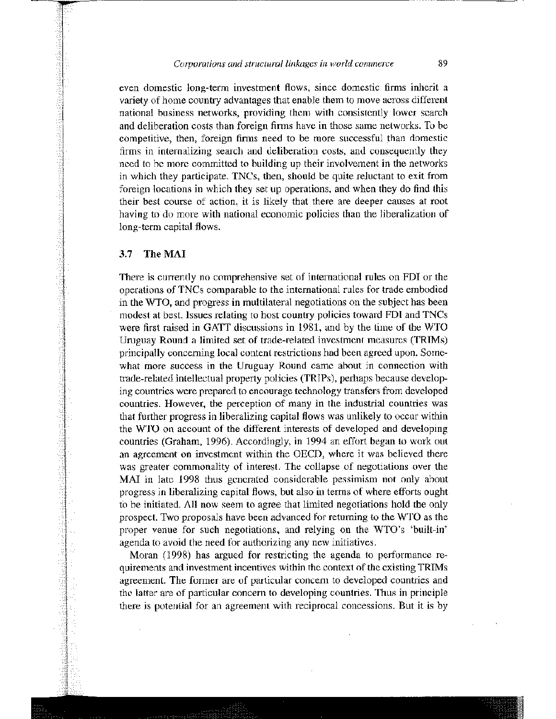#### *COlporations and structural linkages in world commerce 89*

**even domestic long-term investment flows, since domestic firms inherit a variety of home country advantages that enable them to move across different national business networks, providing them with consistently lower search and deliberation costs than foreign firms have in those same networks. To be competitive, then, foreign firms need to be more successful than domestic firms in internalizing search and deliberation costs, and consequently they need to be more committed to building up their involvement in the networks**  in which they participate. TNCs, then, should be quite reluctant to exit from foreign locations in which they set up operations, and when they do find this **their best course of action, it is likely that there are deeper causes at root having to do more with national economic policies than the liberalization of**  long-term capital flows.

#### 3.7 The MAI

 $\frac{1}{2}$ 

 $\mathbb{R}^2$ чÌ,

**There is currently no comprehensive set of international rules on FDI or the**  operations of TNCs comparable to the international rules for trade embodied in the WTO, and progress in multilateral negotiations on the subject has been modest at best. Issues relating to host country policies toward FDI and TNCs were first raised in GATT discussions in 1981, and by the time of the WTO Uruguay Round a limited set of trade-related investment measures (TRIMs) principally concerning local content restrictions had been agreed upon. Some**what more success in the Uruguay Round carne about in connection with**  trade-related intellectual property policies (TRIPs), perhaps because develop**ing countries were prepared to encourage technology transfers from developed countries. However, the perception of many in the industrial countries was that further progress in liberalizing capital flows was unlikely to occur within**  the WTO on account of the different interests of developed and developing countries (Graham, 1996). Accordingly, in 1994 an effort began to work out **an agreement on investment within the OEeD, where it was believed there was greater commonality of interest. The collapse of negotiations over the**  MAl in late 1998 thus generated considerable pessimism not only about progress in liberalizing capital flows, but also in terms of where efforts ought to be initiated. All now seem to agree that limited negotiations hold the only prospect. Two proposals have been advanced for returning to the WTO as the proper venue for such negotiations, and relying on the WTO's 'built-in' **agenda to avoid the need for authorizing any new initiatives.** 

Moran (1998) has argued for restricting the agenda to performance re**quirements and investment incentives within the context of the existing TRIMs agreement. The former are of particular concern to developed countries and the latter are of particular concern to developing countries. Thus in principle there is potential for an agreement with reciprocal concessions. But it is by**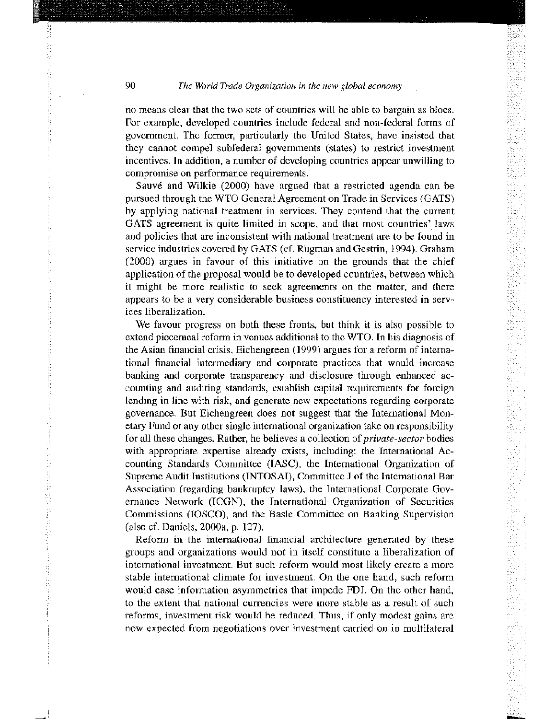no means clear that the two sets of countries will be able to bargain as blocs. For example, developed countries include federal and non-federal forms of government. The former, particularly the United States, have insisted that tbey cannot compel subfederal governments (states) to restrict investment **incentives. In addition, a number of developing countries appear unwilling to compromise on perfonnance requirements.** 

Sauve and Wilkie (2000) have argued that a restricted agenda can be pursued through the WTO General Agreement on Trade in Services (GATS) **by applying national treatment in services. They contend that the current**  GATS agreement is quite limited in scope, and that most countries' laws **and policies that are inconsistent with national treatment are to be found in**  service industries covered by GATS (ef. R'ugman and Gestrin, 1994). Graham (2000) argues in favour of this initiative on the grounds that Ihe chief application of the proposal would be to developed countries, between which it might be more realistic to seek agreements on the matter, and there **appears to be a very considerable business constituency interested in services liberalization.** 

We favour progress on both these fronts, but think it is also possible to **extend piecemeal refonn in venues additional to the WTO. In his diagnosis of**  the Asian financial crisis, Eichengreen (1999) argues for a reform of international financial intermediary and corporate practices that would increase **banking and corporate transparency and disclosure through enhanced ac**counting and auditing standards, establish capital requirements for foreign lending in line with risk, and generate new expectations regarding corporate **governance. But Eichengreen does not suggest that the International Mon**etary Fund or any other single international organization take on responsibility **for all these changes. Rather, he believes a collection of** *private-sector* **bodies with appropriate expertise already exists, including: the International Ac**counting Standards Committee (IASC), the International Organization of Supreme Audit Institutions (INTOSAI), Committee J of Ihe International Bar Association (regarding bankruptcy laws), Ihe International Corporate Governance Network (ICGN), the International Organization of Securities Commissions (IOSCO), and the Basle Committee on Banking Supervision (also cf. Daniels, 2000a, p. 127).

Reform in the international financial architecture generated by these **groups and organizations would not in itself constitute a liberalization of international investment. But such reform would most likely create a more stable international climate for investment. On the one hand, such reform**  would ease information asymmetries that impede FDl. On the other hand, **to the extent that national currencies were more stable as a result of such reforms, investment risk would be reduced. Thus, if only modest gains are now expected from negotiations over investment carried on in multilateral**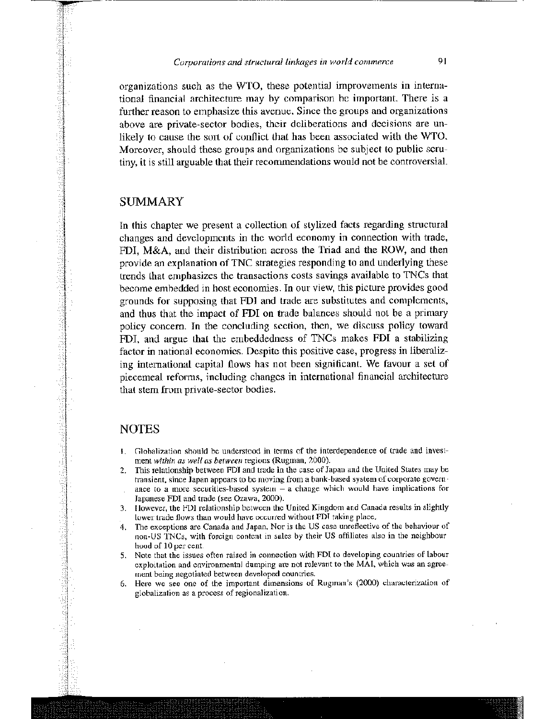organizations such as the WTO, these potential improvements in international financial architecture may by comparison be important. There is a further reason to emphasize this avenue. Since the groups and organizations above are private-sector bodies, their deliberations and decisions are unlikely to cause the sort of conflict that has been associated with the WTO. Moreover, should these groups and organizations be subject to public scrutiny, it is still arguable that their recommendations would not be controversial.

#### SUMMARY

In this chapter we present a collection of stylized facts regarding structural changes and developments in the world economy in connection with trade, FDI, M&A, and their distribution across the Triad and the ROW, and then provide an explanation of TNC strategies responding to and underlying these trends that emphasizes the transactions costs savings available to TNCs that become embedded in host economies. In our view, this picture provides good grounds for supposing that FDI and trade are substitutes and complements, and thus that the impact of FDI on trade balances should not be a primary policy concern. In the concluding section, then, we discuss policy toward FDI, and argue that the embeddedness of TNCs makes PDI a stabilizing factor in national economies. Despite this positive case, progress in liberalizing international capital flows has not been significant. We favour a set of piecemeal reforms, including changes in international financial architecture that stem from private-sector bodies.

#### NOTES

- 1. Globalization should be understood in terms of the interdependence of trade and investment *within as well as between* regions (Rugman, 2000).
- 2. This relationship between FDI and trade in the case of Japan and the United States may be transient, since Japan appears to be moving from a bank-based system of corporate governance to a more securities-based system  $-$  a change which would have implications for Japanese FDI and trade (see Ozawa, 2000).
- 3. However, the FDI relationship between the United Kingdom and Canada results in slightly lower trade flows than would have occurred without FDI taking place.
- 4. The exceptions are Canada and Japan. Nor is the US case unreflective of the behaviour of non-US TNCs, with foreign content in sales by their US affiliates also in the neighbourhood of 10 per cent.
- 5. Note that the issues often raised in connection with FDI to developing countries of labour exploitation and environmental dnmping are not relevant to the MAl, which was an agreement being negotiated between developed countries.
- 6. Here we see one of the important dimensions of Rugman's (2000) characterization of globalization as a process of regionalization.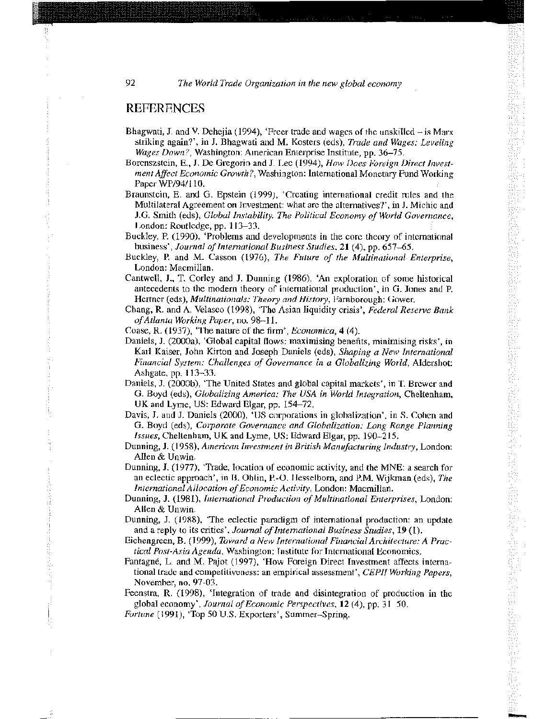### **REFERENCES**

- Bhagwati, J. and V. Dehejia (1994), 'Freer trade and wages of the unskilled  $-$  is Marx striking again?', in 1. Bhagwati and M, Kosters (cds), *Trade and Wages: Leveling Wages Down?,* Washington: American Enterprise Institute, pp. 36-75.
- Borenszstein, E., 1. De Gregorio and J. Lee (1994), *How Does Foreign Direct Investment Affect Economic Growth?,* Washington: International Monetary Fund Working Paper WP/94/11O.
- Braunstein, E. and G. Epstein (1999), 'Creating international credit rules and the Multilateral Agreement on Investment: what arc the alternatives?', in 1. Michie and 1.0. Smith (cds), *Global Instability. The Political Economy a/World Governance,*  London: Routledge, pp. 113-33.
- Buckley, P. (1990), 'Problems and deve10pments in the core theory of international business', *Journal of International Business Studies,* **21** (4), pp. 657-65.
- Buckley, P. and M. Casson (1976), *The Future of the Multinational Enterprise,*  London: Macmillan.
- Cantwell, J., T. Corley and J. Dunning (1986), 'An exploration of some historical antecedents to the modern theory of international production', in G. Jones and P. Hertner (eds), *Multinationals: Theory and History*, Farnborough: Gower.
- Chang, R. and A. Velasco (1998), 'The Asian liquidity crisis', *Federal Reserve Bank of Atlanta Working Paper,* no. 98-11.
- Coase, R. (1937), 'The nature of the firm', *Economica,* 4 (4).
- Daniels, J. (2000a), 'Global capital flows: maximising benefits, minimising risks', in Karl Kaiser, John Kirton and Joseph Daniels (eds), *Shaping a New International Financial System: Challenges of Governance in a Globalizing World,* Aldershot: Ashgate, pp. 113-33.
- Daniels, J. (2000b), 'The United States and global capital markets', in T. Brewer and G. Boyd (eds), *Globalizing America: The USA in World Integration,* Cheltenham, UK and Lyme, US: Edward Elgar, pp. 154-72.
- Davis, 1. and J. Daniels (2000), 'US corporations in globalization', in S. Cohen and G. Boyd (eds), *Corporate Governance and Globalization: Long Range Planning Issues,* Cheltenham, UK and Lyme, US: Edward Elgar, pp. 190-215.
- Dunning, J. (1958), *American Investment in British Manufacturing Industry,* London: Allen & Unwin.
- Dunning, J. (1977), 'Trade, location of economic activity, and the MNE: a search for an eclectic approach', in B. Ohlin, P.-O. Hesselborn, and P.M. Wijkman (eds), *The International Allocation of Economic Activity,* London: Macmillan.
- Dunning, J. (1981), *International Production of Multinational Enterprises,* London: Allen & Unwin.
- Dunning, 1. (1988), 'The eclectic paradigm of international production: an update and a reply to its critics', *Journal of International Business Studies,* **19** (1).
- Eichengreen, B. (1999), *Toward a New International Financial Architecture: A Practical Post-Asia Agenda,* Washington: Institute for International Economics.
- Fantagne, L. and M. Pajot (1997), 'How Foreign Direct Investment affects international trade and competitiveness: an empirical assessment', *CEPII Working Papers*, November, no. 97-03.
- Feenstra, R. (1998), 'Integration of trade and disintegration of production in the global economy', *Journal of Economic Perspectives,* **12** (4), pp. 31-50.

*Fortune* (1991), 'Top 50 U.S. Exporters', Summer-Spring.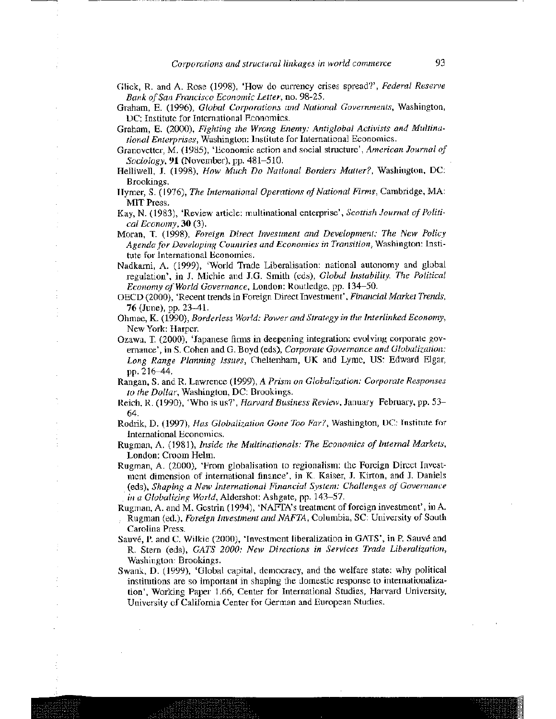- Glick, R. and A. Rose (1998), 'How do currency crises spread?', *Federal Reserve Bank of San Francisco Economic Letter,* no. 98-25.
- Graham, E. (1996), *Global Corporations and National Governments,* Washington, DC: Institute for International Economics.
- Graham, E. (2000), *Fighting the Wrong Enemy: Antiglobal Activists and Multinational Enterprises,* Washington: Institute for International Economics.
- Oranovetter, M. (1985), 'Economic action and social structure', *American Journal of Sociology,* 91 (November), pp. 481-510.
- Helliwell, J. (1998), *How Much Do National Borders Matter?,* Washington, DC: Brookings.
- Hymer, S. (1976), *The International Operations of National Finns,* Cambridge, MA: MIT Press.
- Kay, N. (1983), 'Review article: multinational enterprise', *Scottish Journal of Political Economy,* 30 (3).
- Moran, T. (1998), *Foreign Direct Investment and Development: The New Policy Agenda for Developing Countries and Economies in Transition,* Washington: Institute for International Economics.
- Nadkarni, A. (1999), 'World Trade Liberalisation: national autonomy and global regulation', in J. Michie and J.O. Smith (cds), *Global Instability. The Political Economy of World Governance,* London: Routledge, pp. 134-50.
- *DECD* (2000), 'Recent trends in Foreign Direct Investment', *Financial Market Trends,*  76 (June), pp. 23-41.
- Dhmae, K. (1990), *Borderless World: Power and Strategy in the Interlinked Economy,*  New York: Harper.
- Ozawa, T. (2000), 'Japanese finns in deepening integration: evolving corporate governance', in S. Cohen and O. Boyd (eds), *Corporate Governance and Globalization: Long Range Planning Issues,* Cheltenham, UK and Lyme, US: Edward Elgar, pp.216-44.
- Rangan, S. and R. Lawrence (1999), *A Prism on Globalization: Corporate Responses to the Dollar,* Washington, DC: Brookings.
- Reich, R. (1990), 'Who is us?', *Harvard Business Review*, January-February, pp. 53-64.
- Rodrik, D. (1997), *Has Globalization Gone Too Far?,* Washington, DC: Institute for International Economics.
- Rugman, A. (1981), *Inside the Multinationals: The Economics of Internal Markets,*  London: Croom Helm.
- Rugman, A. (2000), 'From globalisation to regionalism: the Foreign Direct Investment dimension of international finance', in K. Kaiser, J. Kirton, and J. Daniels (eds), *Shaping a New International Financial System: Challenges of Governance in a Globalizing World,* Aldershot: Ashgate, pp. 143-57.
- Rugman, A. and M. Oestrin (1994), 'NAFTA's treatment of foreign investment', in A. Rugman (ed.), *Foreign Investment and NAFTA,* Columbia, SC: University of South Carolina Press.
- Sauve, P. and C. Wilkie (2000), 'Investment liberalization in GATS', in P. Sauve and R. Stern (eds), *GATS 2000: New Directions in Services Trade Liberalization,*  Washington: Brookings.
- Swank, D. (1999), 'Global capital, democracy, and the welfare state: why political institutions are so important in shaping the domestic response to internationalization', Working Paper 1.66, Center for International Studies, Harvard University, University of California Center for German and European Studies.